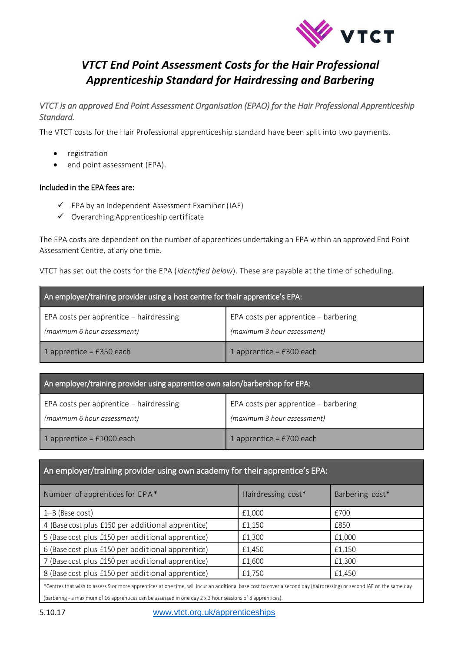

## *VTCT End Point Assessment Costs for the Hair Professional Apprenticeship Standard for Hairdressing and Barbering*

*VTCT is an approved End Point Assessment Organisation (EPAO) for the Hair Professional Apprenticeship Standard.* 

The VTCT costs for the Hair Professional apprenticeship standard have been split into two payments.

- **•** registration
- end point assessment (EPA).

## Included in the EPA fees are:

- $\checkmark$  EPA by an Independent Assessment Examiner (IAE)
- $\checkmark$  Overarching Apprenticeship certificate

The EPA costs are dependent on the number of apprentices undertaking an EPA within an approved End Point Assessment Centre, at any one time.

VTCT has set out the costs for the EPA (*identified below*). These are payable at the time of scheduling.

| An employer/training provider using a host centre for their apprentice's EPA: |                                                                     |  |  |  |
|-------------------------------------------------------------------------------|---------------------------------------------------------------------|--|--|--|
| EPA costs per apprentice - hairdressing<br>(maximum 6 hour assessment)        | EPA costs per apprentice - barbering<br>(maximum 3 hour assessment) |  |  |  |
| 1 apprentice = $£350$ each                                                    | 1 apprentice = $£300$ each                                          |  |  |  |

| An employer/training provider using apprentice own salon/barbershop for EPA: |                                      |  |  |  |
|------------------------------------------------------------------------------|--------------------------------------|--|--|--|
| EPA costs per apprentice - hairdressing                                      | EPA costs per apprentice - barbering |  |  |  |
| (maximum 6 hour assessment)                                                  | (maximum 3 hour assessment)          |  |  |  |
| 1 apprentice = $£1000$ each                                                  | 1 apprentice = $£700$ each           |  |  |  |

## An employer/training provider using own academy for their apprentice's EPA:

| Number of apprentices for EPA*                    | Hairdressing cost* | Barbering cost* |
|---------------------------------------------------|--------------------|-----------------|
| $1-3$ (Base cost)                                 | £1,000             | £700            |
| 4 (Base cost plus £150 per additional apprentice) | £1,150             | £850            |
| 5 (Base cost plus £150 per additional apprentice) | £1,300             | £1,000          |
| 6 (Base cost plus £150 per additional apprentice) | £1,450             | £1,150          |
| 7 (Base cost plus £150 per additional apprentice) | £1,600             | £1,300          |
| 8 (Base cost plus £150 per additional apprentice) | £1,750             | £1,450          |

\*Centres that wish to assess 9 or more apprentices at one time, will incur an additional base cost to cover a second day (hairdressing) or second IAE on the same day (barbering - a maximum of 16 apprentices can be assessed in one day 2 x 3 hour sessions of 8 apprentices).